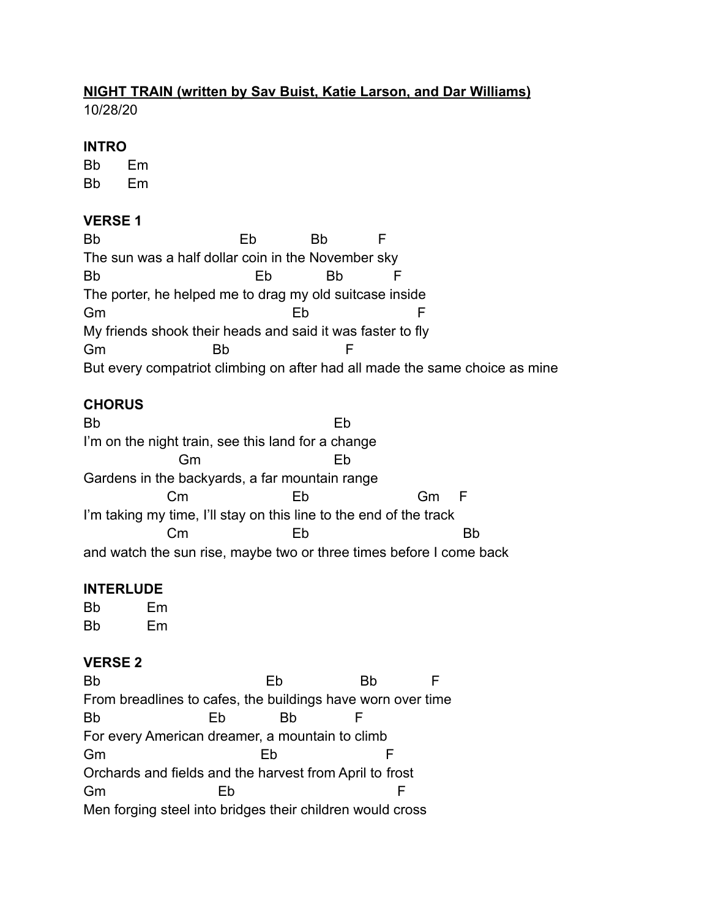# **NIGHT TRAIN (written by Sav Buist, Katie Larson, and Dar Williams)**

10/28/20

#### **INTRO**

Bb Em Bb Em

### **VERSE 1**

| <b>Bb</b>                                                                   | ьp | Bb |  |  |
|-----------------------------------------------------------------------------|----|----|--|--|
| The sun was a half dollar coin in the November sky                          |    |    |  |  |
| <b>Bb</b>                                                                   | ьn | Вh |  |  |
| The porter, he helped me to drag my old suitcase inside                     |    |    |  |  |
| Gm                                                                          | ьp |    |  |  |
| My friends shook their heads and said it was faster to fly                  |    |    |  |  |
| Gm<br>Bh                                                                    |    |    |  |  |
| But every compatriot climbing on after had all made the same choice as mine |    |    |  |  |

# **CHORUS**

Bb Eb I'm on the night train, see this land for a change Gm Eb Gardens in the backyards, a far mountain range Cm Eb Gm F I'm taking my time, I'll stay on this line to the end of the track Cm Eb Bb and watch the sun rise, maybe two or three times before I come back

# **INTERLUDE**

Bb Em Bb Em

# **VERSE 2**

Bb Eb Bb F From breadlines to cafes, the buildings have worn over time Bb Eb Bb F For every American dreamer, a mountain to climb Gm Eb F Orchards and fields and the harvest from April to frost Gm Eb F Men forging steel into bridges their children would cross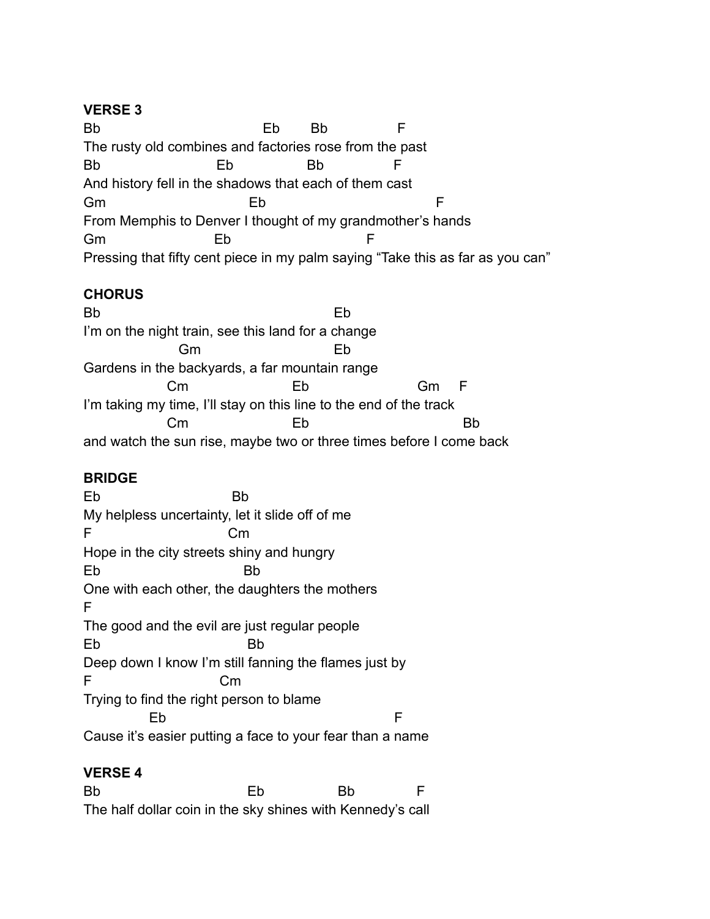#### **VERSE 3**

Bb Eb Bb F The rusty old combines and factories rose from the past Bb Eb Bb F And history fell in the shadows that each of them cast Gm Eb F From Memphis to Denver I thought of my grandmother's hands Gm Eb F Pressing that fifty cent piece in my palm saying "Take this as far as you can"

#### **CHORUS**

Bb Eb I'm on the night train, see this land for a change Gm Eb Gardens in the backyards, a far mountain range Cm Eb Gm F I'm taking my time, I'll stay on this line to the end of the track Cm Eb Bb and watch the sun rise, maybe two or three times before I come back

#### **BRIDGE**

Eb Bb My helpless uncertainty, let it slide off of me F Cm Hope in the city streets shiny and hungry Eb Bb One with each other, the daughters the mothers F The good and the evil are just regular people Eb Bb Deep down I know I'm still fanning the flames just by F Cm Trying to find the right person to blame Eb F Cause it's easier putting a face to your fear than a name

# **VERSE 4**

Bb Eb Bb F The half dollar coin in the sky shines with Kennedy's call